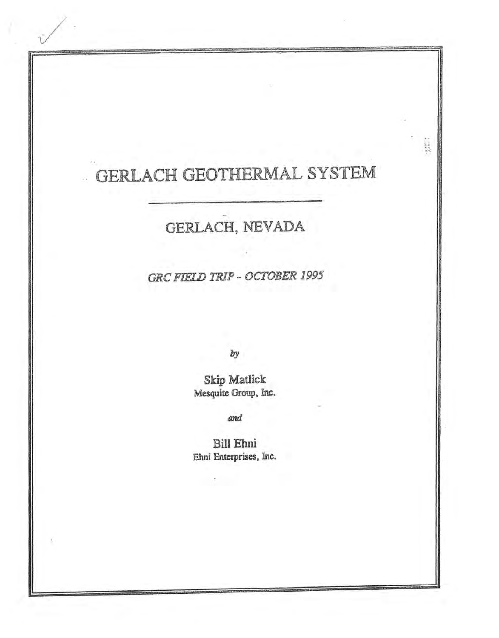# GERLACH GEOTHERMAL SYSTEM

**Bandar** 

# GERLACH, NEVADA

**GRC FIELD TRIP - OCTOBER 1995** 

by

Skip Matlick Mesquite Group, Inc.

and

Bill Ehni Ehni Enterprises, Inc.

**Contractor**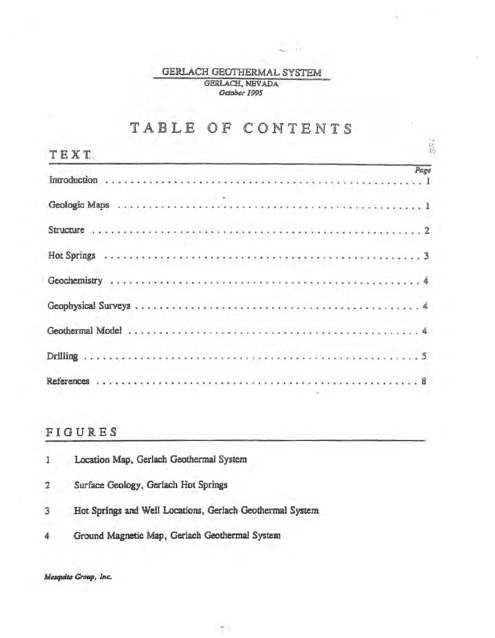## GERLACH GEOTHERMAL SYSTEM GERLACH, NEVADA October 1995

 $\sim$ 

# TABLE OF CONTENTS

| <b>TEXT</b> |  |  |  |  |  |  |  |  |  |  |  |  |  |  |  |  |  |  |  |  |  | $\frac{1}{2}$ |
|-------------|--|--|--|--|--|--|--|--|--|--|--|--|--|--|--|--|--|--|--|--|--|---------------|
|             |  |  |  |  |  |  |  |  |  |  |  |  |  |  |  |  |  |  |  |  |  | Page          |
|             |  |  |  |  |  |  |  |  |  |  |  |  |  |  |  |  |  |  |  |  |  |               |
|             |  |  |  |  |  |  |  |  |  |  |  |  |  |  |  |  |  |  |  |  |  |               |
|             |  |  |  |  |  |  |  |  |  |  |  |  |  |  |  |  |  |  |  |  |  |               |
|             |  |  |  |  |  |  |  |  |  |  |  |  |  |  |  |  |  |  |  |  |  |               |
|             |  |  |  |  |  |  |  |  |  |  |  |  |  |  |  |  |  |  |  |  |  |               |
|             |  |  |  |  |  |  |  |  |  |  |  |  |  |  |  |  |  |  |  |  |  |               |
|             |  |  |  |  |  |  |  |  |  |  |  |  |  |  |  |  |  |  |  |  |  |               |
|             |  |  |  |  |  |  |  |  |  |  |  |  |  |  |  |  |  |  |  |  |  |               |

# FIGURES

|              | Location Map, Gerlach Geothermal System                   |
|--------------|-----------------------------------------------------------|
| $\mathbf{2}$ | Surface Geology, Gerlach Hot Springs                      |
|              | Hot Springs and Well Locations, Gerlach Geothermal System |
|              | Ground Magnetic Map, Gerlach Geothermal System            |

 $\sim$ 

Mesquite Group, Inc.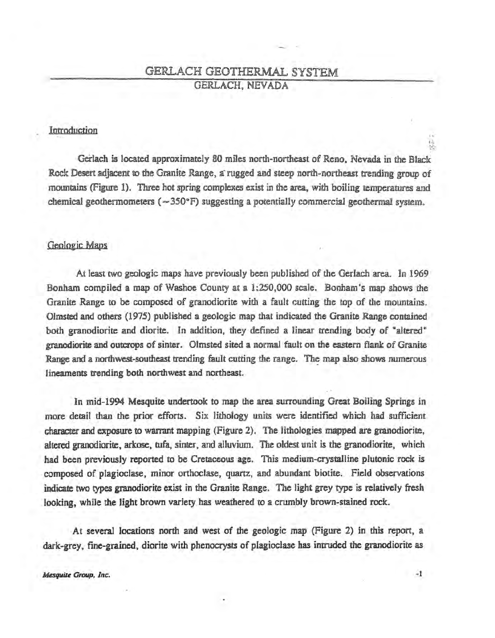## GERLACH GEOTHERMAL SYSTEM GERLACH. NEVADA

## Introduction

Gerlach is located approximately 80 miles north-northeast of Reno. Nevada in the Black Rock Desert adjacent to the Granite Range, a rugged and steep north-northeast trending group of mountains (Figure 1). 'Three hot spring complexes exist in the area, with boiiing temperatures arnd chemical geothermometers ( $\sim$ 350°F) suggesting a potentially commercial geothermal system.

#### Geologic Maps

At least two geologic maps have previously been published of the Gerlach area. In 1969 Bonham compiled a map of Washoe County at a 1:250.000 scale. Bonham's map shows the Granite Range to be composed of granodiorite with a fault cutting the top of the mountains. Olmsted and others (1975) published a geologic map that indicated the Granite Range contained both granodiorite and diorite. In addition, they defined a linear trending body of "altered" granodiorite and outcrops of sinter. Olmsted sited a norrmal fault on the eastern flank of Granite Range and a northwest-southeast trending fault cutting the range. The map also shows numerous lineaments trending both northwest and northeast.

In mid-1994 Mesquite undertook to map the area surrounding Great Boiling Springs in more detail than the prior efforts. Six lithology units were identified which had sufficient character and exposure to warrant mapping (Figure 2). The Hthologies mapped are granodiorite, altered granodiorite, arkose, tufa, sinter, and alluvium. The oldest unit is the granodiorite, which had been previously reported to be Cretaceous age. This medium-crystalline plutonic rock is composed of plagioclase, minor orthoclase, quartz, and abundant biotite. field observations indicate two types granodiorite exist in the Granite Range. The light grey type is relatively fresh looking, while the light brown variety has weathered to a crumbly brown-stained rock.

At several locations north and west of the geologic map (Figure 2) in this report, a dark-grey, fine-grained, diorite with phenocrysts of plagioclase has intruded the granodiorite as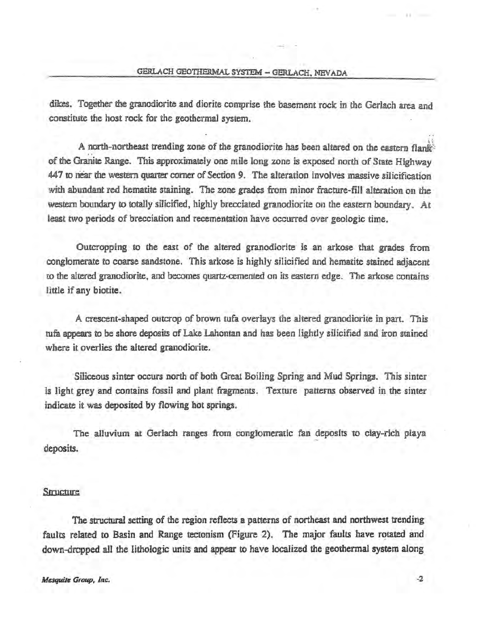dikes. Together the granodiorite and diorite comprise the basement rock in the Gerlach area and constitute the host rock for the geothermal system.

A north-northeast trending zone of the granodiorite has been altered on the eastern flank: of the Granite Range. This approximately one mile long zone is exposed north of State Highway 447 to near the western quarter oomer of Section 9. The alteration involves massive silicification with abundant red hematite staining. The zone grades from minor fracture-fill alteration on the western boundary to totally silicified, highly brecciated granodiorite on the eastern boundary. At least two periods of brecciation and recementation have occurred over geologic time.

Outcropping to the east of the altered granodiorite is an arkose that grades from conglomerate to coarse sandstone. This arkose is highly silicified and hematite stained adjacent 1:0 the altered granodiorite, and becomes quartz-cemented on its eastern edge. The arkose contains little if any biotite.

A crescent-shaped outcrop of brown tufa overlays the altered granodiorite in part. This tufa appears to be shore deposits of Lake Lahontan and has been lightly silicified and iron stained where it overlies the altered granodiorite.

Siliceous sinter occurs north of both Great Boiling Spring and Mud Springs, This sinter is light grey and contains fossil and plant fragments. Texture patterns observed in the sinter indicate it was deposited by flowing hot springs.

The alluvium at Gerlach ranges from conglomeratic fan deposits to clay-rich playa deposits.

#### Structure

The structural setting of the region reflects a patterns of northeast and northwest trending faults related to Basin and Range tectonism (Figure 2). The major faults have rotated and down-dropped all the lithologic units and appear to have localized the geothermal system along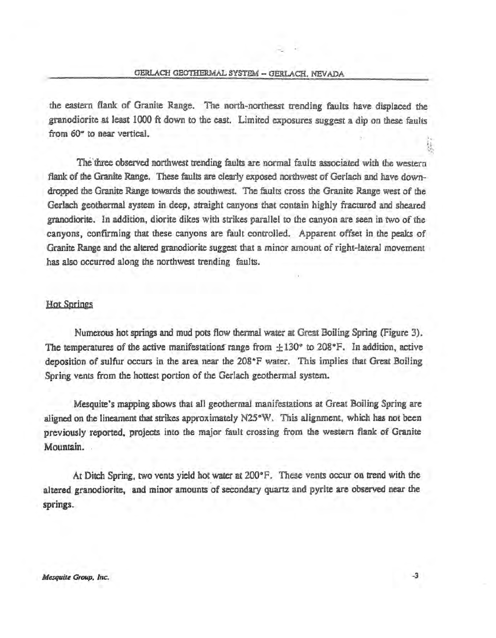the eastern flank of Granite Range. The north-northeast trending faults have displaced the granodiorite at least 1000 ft down to the east. Limited exposures suggest a dip on these faults from 60° to near vertical.

The three observed northwest trending faults are normal faults associated with the western flank of the Granite Range. These faults are clearly exposed northwest of Gerlach and have downdropped the Granite Range towards the southwest. The faults cross the Granite Range west of the Gerlach geothermal system in deep, straight canyons that contain highly fractured and sheared granodiorite. In addition, diorite dikes with strikes parallel to the canyon are seen in two of the canyons, confirming that these canyons are fault controlled. Apparent offset in the peaks of Granite Range and the altered granodiorite suggest that a minor amount of right~ lateral movement has also occurred a1ong the northwest trending faults.

## Hot Springs

Numerous hot springs and mud pots flow thermal water at Great Boiling Spring (Figure 3). The temperatures of the active manifestations range from  $\pm 130^{\circ}$  to 208°F. In addition, active deposition of sulfur occurs in the area near the 208°F water. This implies that Great Boiling Spring vents from the hottest portion of the Gerlach geothermal system.

Mesquite's mapping shows that all geothermal manifestations at Great Boiling Spring are aligned on the lineament that strikes approximately N25°W. This alignment, which has not been previously reported, projects into the major fault crossing from the western flank of Granite Mountain.

At Ditch Spring. two vents yield hot water at 200°F. These vents occur on trend with the altered granodiorite, and minor amounts of secondary quartz and pyrite are observed near the springs.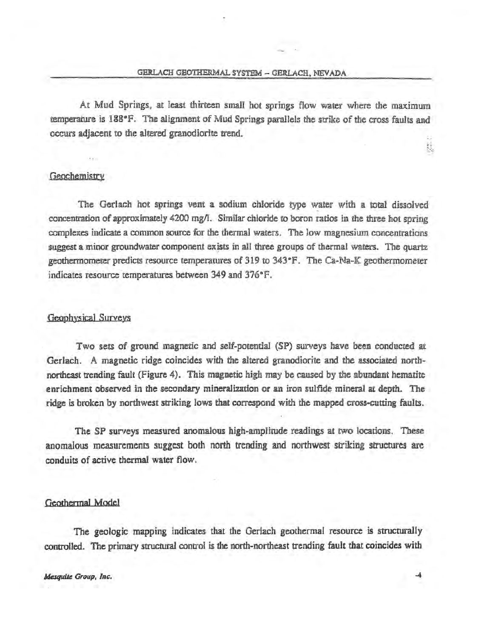At Mud Springs, at least thirteen small hot springs flow water where the maximum temperature is 188°F. The alignment of Mud Springs parallels the strike of the cross faults and occurs adjacent to the altered granodiorite trend.

## Geochemistry

The Gerlach hot springs vent a sodium chloride type water with a total dissolved concentration of approximately 4200 mg/l. Similar chloride to boron ratios in the three hot spring oomplexes indicate a common source for the thermal waters. The low magnesium concentrations suggest a minor groundwater component exists in all three groups of thermal waters. The quartz geothermometer predicts resource temperatures of 319 to 343°F. The Ca-Na-K geothermometer indicates resource temperatures between 349 and 376°F.

#### Geophysical Surveys

Two sets of ground magnetic and self-potential (SP) surveys have been conducted at Gerlach. A magnetic ridge coincides with the altered granodiorite and the usociated northnortheast trending fault (Figure 4). This magnetic high may be caused by the abundant hematite enrichment observed in the secondary mineralization or an iron sulfide mineral at depth. The ridge is broken by northwest striking lows that correspond with the mapped cross-cutting faults.

The SP surveys measured anomalous high-amplitude readings at two locations. These anomalous measurements suggest both north trending and northwest striking structures are conduits of active thermal water flow.

#### Geothermal Model

The geologic mapping indicates that the Gerlach geothermal resource is structurally controlled. The primary structural control is the north-northeast trending fault that coincides with

k.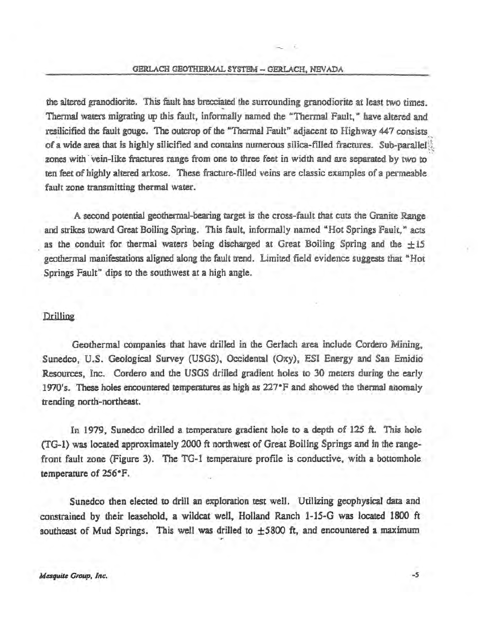the altered granodiorite. This fault has brecciated the surrounding granodiorite at least two times. Thermal waters migrating up this fault, informally named the "Thermal Fault," have altered and resilicified the fault gouge. The outcrop of the "Thermal Fault" adjacent to Highway 447 consists. of a wide area that is highly silicified and contains numerous silica-filled fractures. Sub-parallel zones with vein-like fractures range from one to three feet in width and are separated by two to ten feet of highly altered arkose. These fracture-filled veins are classic examples of a permeable fault zone transmitting thermal water.  $\omega$ 

A second potential geothermal-bearing target is the cross-fault that cuts the Granite Range and strikes toward Great Boiling Spring. This fault, informally named "Hot Springs Fault," acts as the conduit for thermal waters being discharged at Great Boiling Spring and the  $\pm 15$ geothermal manifestations aligned along the fault trend. Limited field evidence suggests that "Hot Springs Fault" dips to the southwest at a high angle.

#### .Prilling

Geothermal companies that have drilled in the Gerlach area include Cordero Mining. Sunedco, U.S. Geological Survey (USGS), Occidental (Oxy), ESI Energy and San Emidio Resources, Inc. Cordero and the USGS drilled gradient holes to 30 meters during the early 1970's. These holes encountered temperatures as high as  $227^{\circ}F$  and showed the thermal anomaly trending north-northeast.

In 1979, Sunedco drilled a temperature gradient hole to a depth of 125 ft. This hole (TG-1) was located approximately 2000 ft northwest of Great Boiling Springs and in the rangefront fault zone (Figure 3). The TG-1 temperature profile is conductive. with a bottomhole temperature of 256°F.

Sunedco then elected to drill an exploration test well. Utilizing geophysical data and constrained by their leasehold, a wildcat well, Holland Ranch 1-15-G was located 1800 ft southeast of Mud Springs. This well was drilled to  $\pm$ 5800 ft, and encountered a maximum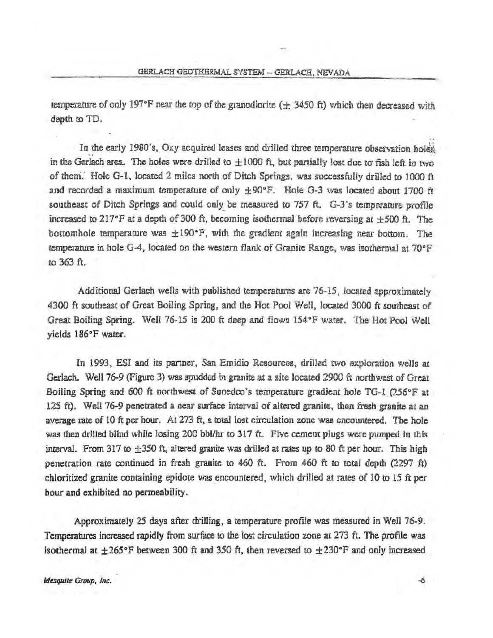temperature of only 197°F near the top of the granodiorite ( $\pm$  3450 ft) which then decreased with depth to TD.

In the early 1980's, Oxy acquired leases and drilled three temperature observation holes. in the Gerlach area. The holes were drilled to  $\pm 1000$  ft, but partially lost due to fish left in two of them. Hole G-1, located 2 miles north of Ditch Springs, was successfully drilled to 1000 ft and recorded a maximum temperature of only  $\pm$ 90°F. Hole G-3 was located about 1700 ft southeast of Ditch Springs and could only be measured to  $757$  ft. G-3's temperature profile increased to 217°F at a depth of 300 ft, becoming isothermal before reversing at  $\pm$ 500 ft. The bottomhole temperature was  $\pm 190^\circ F$ , with the gradient again increasing near bottom. The temperature in hole G-4, located on the western flank of Granite Range, was isothermal at  $70^{\circ}$ F to 363ft.

Additional Gerlach wells with published temperatures are  $76-15$ , located approximately 4300 ft southeast of Great Boiling Spring. and the Hot Pool Well, located 3000 ft southeast of Great Boiling Spring. Well 76-15 is 200 ft deep and flows 154°F water. The Hot Pool Well yields 186"F water.

In 1993, ESI and its partner. San Emidio Resources. drilled two exploration wells at Gerlach. Well 76-9 (Figure 3) was spudded in granite at a site located 2900 ft northwest of Great Boiling Spring and 600 ft northwest of Sunedco's temperature gradient hole TG-1 (256°F at 125 ft). Well 76-9 penetrated a near surface interval of altered granite, then fresh granite at an average rate of 10 ft per hour. At  $273$  ft, a total lost circulation zone was encountered. The hole was then drilled blind while losing 200 bbl/hr to 317 ft. Five cement plugs were pumped in this interval. From 317 to  $\pm 350$  ft, altered granite was drilled at rates up to 80 ft per hour. This high penetration rate continued in fresh granite to 460 ft. From 460 ft to total depth (2297 ft) chloritized granite containing epidote was encountered, which drilled at rates of 10 to 15  $\hat{\pi}$  per hour and exhibited no permeability.

Approximately 25 days after drilling, a temperature profile was measured in Well 76-9. Temperatures increased rapidly from surface to the lost circulation zone at 273 ft. The profile was isothermal at  $\pm 265^{\circ}$ F between 300 ft and 350 ft, then reversed to  $\pm 230^{\circ}$ F and only increased

..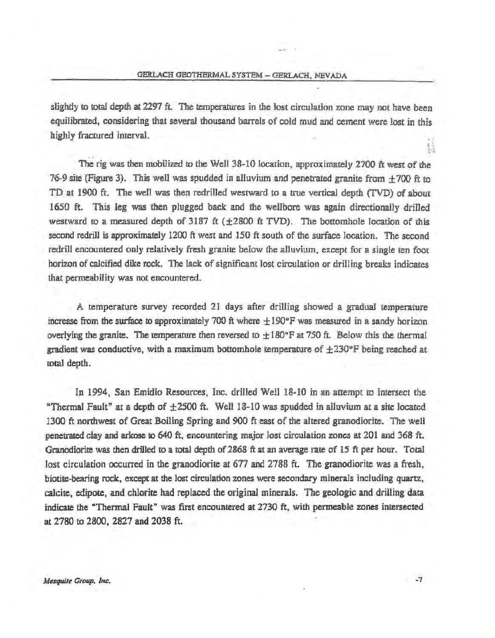slightly to total depth at 2297 ft. The temperatures in the lost circulation zone may not have been equilibrated, considering that several thousand barrels of cold mud and cement were lost in this highly fractured intervaL

'' The rig was then mobilized to the Well 38-10 location. approximately 2700 ft west of the 76-9 site (Figure 3). This well was spudded in alluvium and penetrated granite from  $+700$  ft to TD at 1900 ft. The well was then redrilled westward to a true vertical depth (TVD) of about 1650 ft. This leg was then plugged back and the wellbore was again directionally drilled westward to a measured depth of 3187 ft  $(+2800 \text{ ft TVD})$ . The bottomhole location of this second redrill is approximately 1200 ft west and 150 ft south of the surface location. The second redrill encountered only relatively fresh granite below the alluvium, except for a single ten foot horizon of calcified dike rock. The lack of significant lost circulation or drilling breaks indicates that permeability was not encountered.

A temperature survey recorded 21 days after drilling showed a gradual temperature increase from the surface to approximately 700 ft where  $\pm 190^\circ$ F was measured in a sandy horizon overlying the granite. The temperature then reversed to  $\pm 180^{\circ}$ F at 750 ft. Below this the thermal gradient was conductive, with a maximum bottomhole temperature of  $\pm 230^{\circ}$ F being reached at total depth.

In 1994, San Emidio Resources, Inc. drilled Well 18-10 in an attempt to intersect the "Thermal Fault" at a depth of  $\pm 2500$  ft. Well 18-10 was spudded in alluvium at a site located 1300 ft northwest of Great Boiling Spring and 900 ft east of the altered granodiorite. The well penetrated clay and arkose to 640 ft, encountering major lost circulation zones at 201 and 368 ft. Granodiorite was then drilled to a total depth of 2868 ft at an average rate of 15 ft per hour. Total lost circulation occurred in the granodiorite at 677 and 2788 ft. The granodiorite was a fresh, biotite-bearing rock, except at the lost circulation zones were secondary minerals including quartz, calcite, edipote, and chlorite had replaced the original minerals. The geologic and drilling data indicate the "Thermal Fault" was first encountered at 2730 ft. with permeable zones intersected at 2780 to 2800, 2827 and 2038 ft.

鯐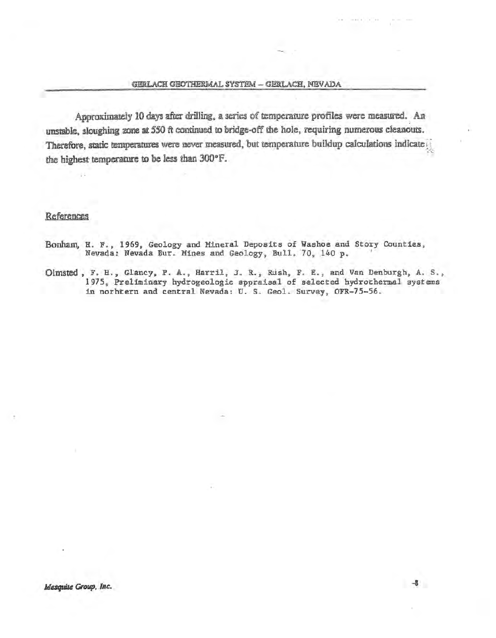$-8$ 

Approximately 10 days after drilling, a series of temperature profiles were measured. An unstable, sloughing zone at 550 ft continued to bridge-off the hole, requiring numerous cleanouts. Therefore, static temperatures were never measured, but temperature buildup calculations indicate the highest temperature to be less than 300°F.

#### References

- Bonham, H. F., 1969, Geology and Mineral Deposits of Washoe and Story Counties, Nevada: Nevada Bur. Mines and Geology, Bull. 70, 140 p.
- Olmsted, F. H., Glancy, P. A., Harril, J. R., Rush, F. E., and Van Denburgh, A. S., 1975, Preliminary hydrogeologic appraisal of selected hydrothermal systems in norhtern and central Nevada: U. S. Geol. Survey, OFR-75-56.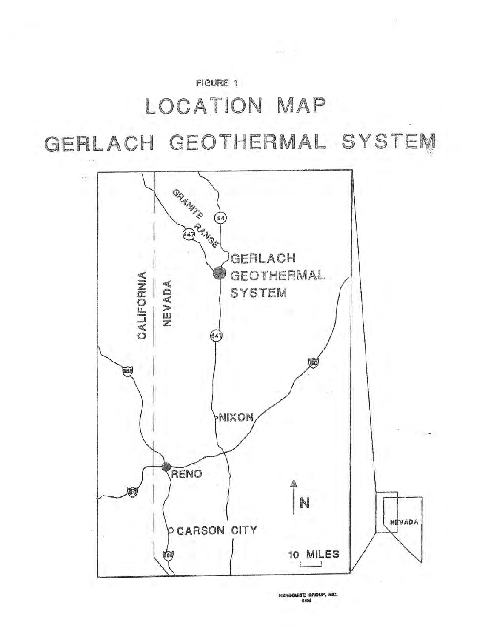# **FIGURE 1** LOCATION MAP GERLACH GEOTHERMAL SYSTEM



MERGOUITE GROUP, NIC.  $6196$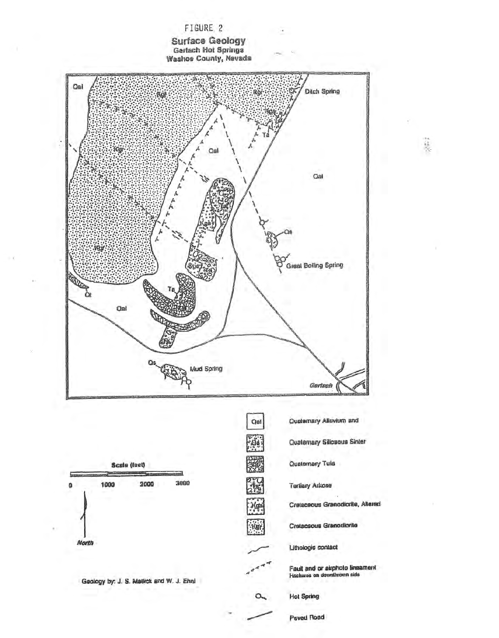

 $\frac{1}{2}$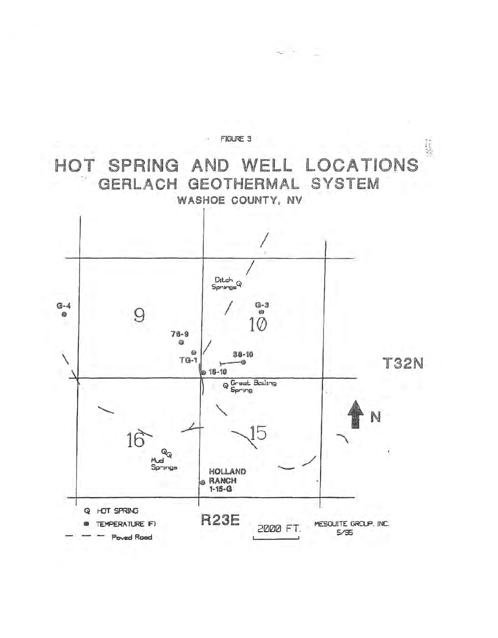